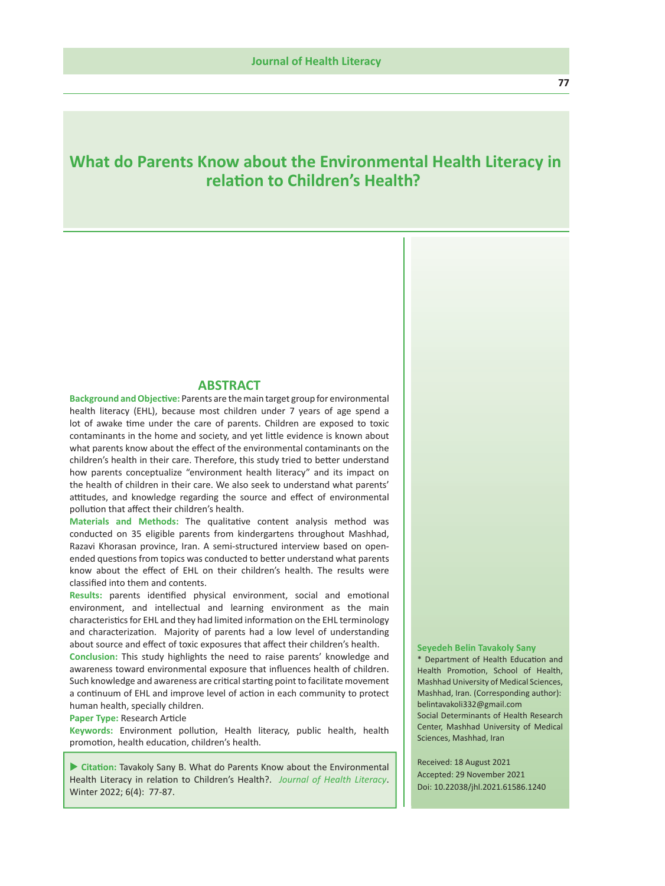# **What do Parents Know about the Environmental Health Literacy in rela tion to Children's Health?**

## **ABSTRACT**

**Background and Objec tive:** Parents are the main target group for environmental health literacy (EHL), because most children under 7 years of age spend a lot of awake time under the care of parents. Children are exposed to toxic contaminants in the home and society, and yet li ttle evidence is known about what parents know about the e ffect of the environmental contaminants on the children's health in their care. Therefore, this study tried to be tter understand how parents conceptualize "environment health literacy" and its impact on the health of children in their care. We also seek to understand what parents' attitudes, and knowledge regarding the source and effect of environmental pollu tion that a ffect their children's health.

Materials and Methods: The qualitative content analysis method was conducted on 35 eligible parents from kindergartens throughout Mashhad, Razavi Khorasan province, Iran. A semi-structured interview based on openended questions from topics was conducted to better understand what parents know about the e ffect of EHL on their children's health. The results were classi fied into them and contents.

Results: parents identified physical environment, social and emotional environment, and intellectual and learning environment as the main characteris tics for EHL and they had limited informa tion on the EHL terminology and characteriza tion. Majority of parents had a low level of understanding about source and e ffect of toxic exposures that a ffect their children's health.

**Conclusion:** This study highlights the need to raise parents' knowledge and awareness toward environmental exposure that in fluences health of children. Such knowledge and awareness are critical starting point to facilitate movement a con tinuum of EHL and improve level of ac tion in each community to protect human health, specially children.

Paper Type: Research Article

**Keywords:** Environment pollu tion, Health literacy, public health, health promo tion, health educa tion, children's health.

**Citation:** Tavakoly Sany B. What do Parents Know about the Environmental Health Literacy in relation to Children's Health?. Journal of Health Literacy. Winter 2022; 6 (4): 77-87.

#### **Seyedeh Belin Tavakoly Sany**

\* Department of Health Educa tion and Health Promo tion, School of Health, Mashhad University of Medical Sciences, Mashhad, Iran. (Corresponding author): belintavakoli332@gmail.com Social Determinants of Health Research Center, Mashhad University of Medical Sciences, Mashhad, Iran

 Received: 18 August 2021 Accepted: 29 November 2021 Doi: 10.22038/jhl.2021.61586.1240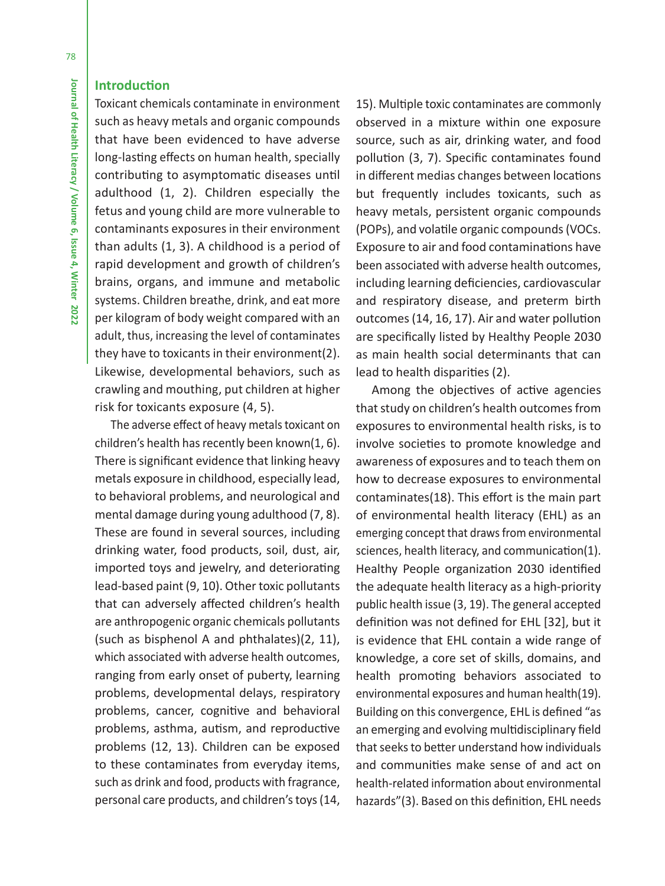## **Introduction**

Toxicant chemicals contaminate in environment such as heavy metals and organic compounds that have been evidenced to have adverse long-lasting effects on human health, specially contributing to asymptomatic diseases until adulthood (1, 2). Children especially the fetus and young child are more vulnerable to contaminants exposures in their environment than adults (1, 3). A childhood is a period of rapid development and growth of children's brains, organs, and immune and metabolic systems. Children breathe, drink, and eat more per kilogram of body weight compared with an adult, thus, increasing the level of contaminates they have to toxicants in their environment(2). Likewise, developmental behaviors, such as crawling and mouthing, put children at higher risk for toxicants exposure (4, 5).

The adverse effect of heavy metals toxicant on children's health has recently been known(1, 6). There is significant evidence that linking heavy metals exposure in childhood, especially lead, to behavioral problems, and neurological and mental damage during young adulthood (7, 8). These are found in several sources, including drinking water, food products, soil, dust, air, imported toys and jewelry, and deteriorating lead-based paint (9, 10). Other toxic pollutants that can adversely affected children's health are anthropogenic organic chemicals pollutants (such as bisphenol A and phthalates)(2, 11), which associated with adverse health outcomes, ranging from early onset of puberty, learning problems, developmental delays, respiratory problems, cancer, cognitive and behavioral problems, asthma, autism, and reproductive problems (12, 13). Children can be exposed to these contaminates from everyday items, such as drink and food, products with fragrance, personal care products, and children's toys (14,

15). Multiple toxic contaminates are commonly observed in a mixture within one exposure source, such as air, drinking water, and food pollution (3, 7). Specific contaminates found in different medias changes between locations but frequently includes toxicants, such as heavy metals, persistent organic compounds (POPs), and volatile organic compounds (VOCs. Exposure to air and food contaminations have been associated with adverse health outcomes, including learning deficiencies, cardiovascular and respiratory disease, and preterm birth outcomes (14, 16, 17). Air and water pollution are specifically listed by Healthy People 2030 as main health social determinants that can lead to health disparities (2).

Among the objectives of active agencies that study on children's health outcomes from exposures to environmental health risks, is to involve societies to promote knowledge and awareness of exposures and to teach them on how to decrease exposures to environmental contaminates(18). This effort is the main part of environmental health literacy (EHL) as an emerging concept that draws from environmental sciences, health literacy, and communication(1). Healthy People organization 2030 identified the adequate health literacy as a high-priority public health issue (3, 19). The general accepted definition was not defined for EHL [32], but it is evidence that EHL contain a wide range of knowledge, a core set of skills, domains, and health promoting behaviors associated to environmental exposures and human health(19). Building on this convergence, EHL is defined "as an emerging and evolving multidisciplinary field that seeks to better understand how individuals and communities make sense of and act on health-related information about environmental hazards"(3). Based on this definition, EHL needs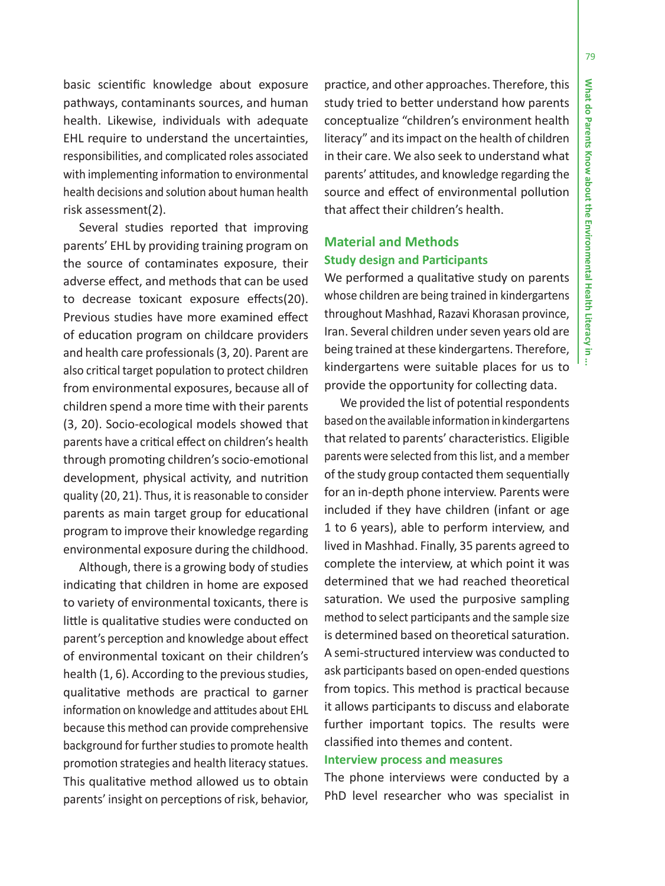79

basic scien ti fic knowledge about exposure pathways, contaminants sources, and human health. Likewise, individuals with adequate EHL require to understand the uncertain ties, responsibili ties, and complicated roles associated with implemen ting informa tion to environmental health decisions and solu tion about human health risk assessment(2).

Several studies reported that improving parents' EHL by providing training program on the source of contaminates exposure, their adverse e ffect, and methods that can be used to decrease toxicant exposure e ffects(20). Previous studies have more examined e ffect of educa tion program on childcare providers and health care professionals (3, 20). Parent are also cri tical target popula tion to protect children from environmental exposures, because all of children spend a more time with their parents (3, 20). Socio-ecological models showed that parents have a cri tical e ffect on children's health through promo ting children's socio-emo tional development, physical activity, and nutrition quality (20, 21). Thus, it is reasonable to consider parents as main target group for educa tional program to improve their knowledge regarding environmental exposure during the childhood.

Although, there is a growing body of studies indica ting that children in home are exposed to variety of environmental toxicants, there is little is qualitative studies were conducted on parent's percep tion and knowledge about e ffect of environmental toxicant on their children's health (1, 6). According to the previous studies, qualita tive methods are prac tical to garner informa tion on knowledge and a ttitudes about EHL because this method can provide comprehensive background for further studies to promote health promo tion strategies and health literacy statues. This qualita tive method allowed us to obtain parents' insight on percep tions of risk, behavior,

prac tice, and other approaches. Therefore, this study tried to better understand how parents conceptualize "children's environment health literacy" and its impact on the health of children in their care. We also seek to understand what parents' a ttitudes, and knowledge regarding the source and e ffect of environmental pollu tion that a ffect their children's health.

## **Material and Methods Study design and Par ticipants**

We performed a qualitative study on parents whose children are being trained in kindergartens throughout Mashhad, Razavi Khorasan province, Iran. Several children under seven years old are being trained at these kindergartens. Therefore, kindergartens were suitable places for us to provide the opportunity for collec ting data.

We provided the list of potential respondents based on the available informa tion in kindergartens that related to parents' characteris tics. Eligible parents were selected from this list, and a member of the study group contacted them sequen tially for an in-depth phone interview. Parents were included if they have children (infant or age 1 to 6 years), able to perform interview, and lived in Mashhad. Finally, 35 parents agreed to complete the interview, at which point it was determined that we had reached theore tical satura tion. We used the purposive sampling method to select par ticipants and the sample size is determined based on theore tical satura tion. A semi-structured interview was conducted to ask par ticipants based on open-ended ques tions from topics. This method is prac tical because it allows par ticipants to discuss and elaborate further important topics. The results were classi fied into themes and content.

## **Interview process and measures**

The phone interviews were conducted by a PhD level researcher who was specialist in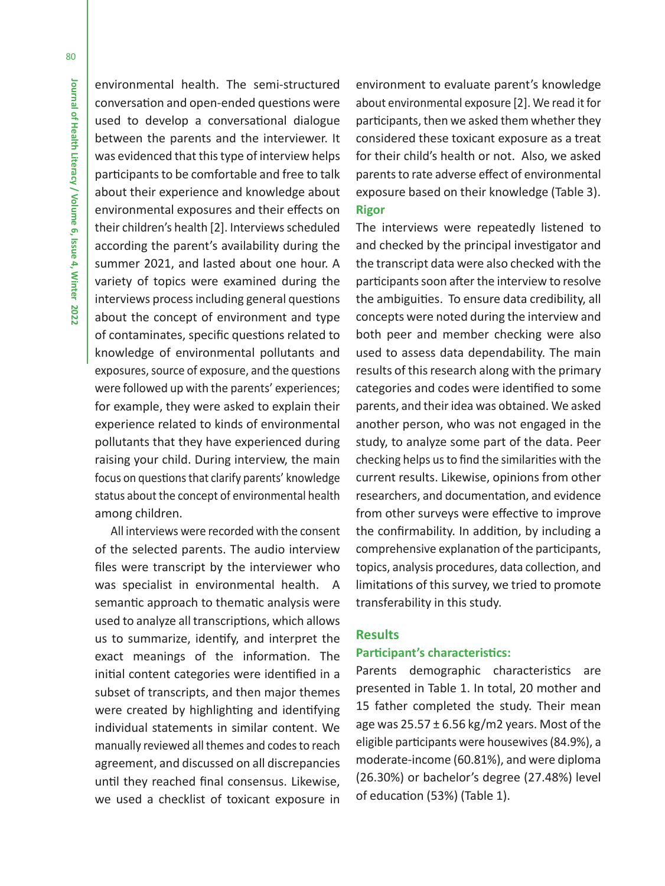environmental health. The semi-structured conversation and open-ended questions were used to develop a conversational dialogue between the parents and the interviewer. It was evidenced that this type of interview helps participants to be comfortable and free to talk about their experience and knowledge about environmental exposures and their effects on their children's health [2]. Interviews scheduled according the parent's availability during the summer 2021, and lasted about one hour. A variety of topics were examined during the interviews process including general questions about the concept of environment and type of contaminates, specific questions related to knowledge of environmental pollutants and exposures, source of exposure, and the questions were followed up with the parents' experiences; for example, they were asked to explain their experience related to kinds of environmental pollutants that they have experienced during raising your child. During interview, the main focus on questions that clarify parents' knowledge status about the concept of environmental health among children.

All interviews were recorded with the consent of the selected parents. The audio interview files were transcript by the interviewer who was specialist in environmental health. A semantic approach to thematic analysis were used to analyze all transcriptions, which allows us to summarize, identify, and interpret the exact meanings of the information. The initial content categories were identified in a subset of transcripts, and then major themes were created by highlighting and identifying individual statements in similar content. We manually reviewed all themes and codes to reach agreement, and discussed on all discrepancies until they reached final consensus. Likewise, we used a checklist of toxicant exposure in

environment to evaluate parent's knowledge about environmental exposure [2]. We read it for participants, then we asked them whether they considered these toxicant exposure as a treat for their child's health or not. Also, we asked parents to rate adverse effect of environmental exposure based on their knowledge (Table 3). **Rigor**

The interviews were repeatedly listened to and checked by the principal investigator and the transcript data were also checked with the participants soon after the interview to resolve the ambiguities. To ensure data credibility, all concepts were noted during the interview and both peer and member checking were also used to assess data dependability. The main results of this research along with the primary categories and codes were identified to some parents, and their idea was obtained. We asked another person, who was not engaged in the study, to analyze some part of the data. Peer checking helps us to find the similarities with the current results. Likewise, opinions from other researchers, and documentation, and evidence from other surveys were effective to improve the confirmability. In addition, by including a comprehensive explanation of the participants, topics, analysis procedures, data collection, and limitations of this survey, we tried to promote transferability in this study.

### **Results**

## **Participant's characteristics:**

Parents demographic characteristics are presented in Table 1. In total, 20 mother and 15 father completed the study. Their mean age was  $25.57 \pm 6.56$  kg/m2 years. Most of the eligible participants were housewives (84.9%), a moderate-income (60.81%), and were diploma (26.30%) or bachelor's degree (27.48%) level of education (53%) (Table 1).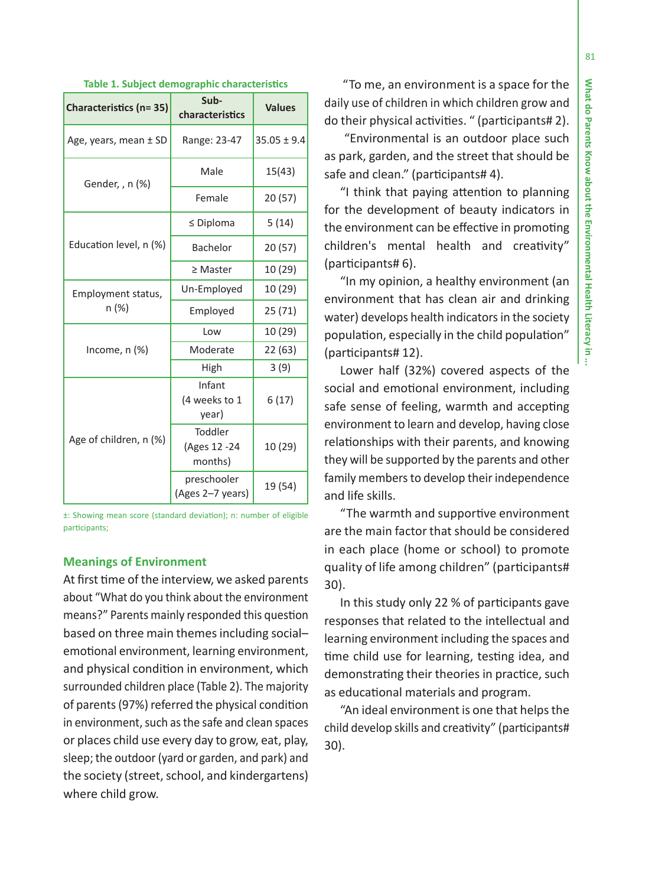81

| <b>Characteristics (n=35)</b> | Sub-<br>characteristics            | <b>Values</b>   |
|-------------------------------|------------------------------------|-----------------|
| Age, years, mean ± SD         | Range: 23-47                       | $35.05 \pm 9.4$ |
| Gender, , n (%)               | Male                               | 15(43)          |
|                               | Female                             | 20(57)          |
|                               | $\leq$ Diploma                     | 5(14)           |
| Education level, n (%)        | Bachelor                           | 20(57)          |
|                               | $\geq$ Master                      | 10 (29)         |
| Employment status,            | Un-Employed                        | 10 (29)         |
| n (%)                         | Employed                           | 25 (71)         |
|                               | Low                                | 10 (29)         |
| Income, $n$ $%$               | Moderate                           | 22(63)          |
|                               | High                               | 3(9)            |
|                               | Infant<br>(4 weeks to 1<br>year)   | 6(17)           |
| Age of children, n (%)        | Toddler<br>(Ages 12 -24<br>months) | 10 (29)         |
|                               | preschooler<br>(Ages 2–7 years)    | 19 (54)         |

#### **Table 1. Subject demographic characteris tics**

±: Showing mean score (standard devia tion); n: number of eligible par ticipants;

### **Meanings of Environment**

At first time of the interview, we asked parents about "What do you think about the environment means?" Parents mainly responded this ques tion based on three main themes including social– emo tional environment, learning environment, and physical condi tion in environment, which surrounded children place (Table 2). The majority of parents (97%) referred the physical condi tion in environment, such as the safe and clean spaces or places child use every day to grow, eat, play, sleep; the outdoor (yard or garden, and park) and the society (street, school, and kindergartens) where child grow.

 "To me, an environment is a space for the daily use of children in which children grow and do their physical ac tivi ties. " (par ticipants# 2).

 "Environmental is an outdoor place such as park, garden, and the street that should be safe and clean." (par ticipants# 4).

"I think that paying attention to planning for the development of beauty indicators in the environment can be e ffec tive in promo ting children's mental health and crea tivity" (par ticipants# 6).

"In my opinion, a healthy environment (an environment that has clean air and drinking water) develops health indicators in the society popula tion, especially in the child popula tion" (par ticipants# 12).

Lower half (32%) covered aspects of the social and emo tional environment, including safe sense of feeling, warmth and accep ting environment to learn and develop, having close rela tionships with their parents, and knowing they will be supported by the parents and other family members to develop their independence and life skills.

"The warmth and suppor tive environment are the main factor that should be considered in each place (home or school) to promote quality of life among children" (par ticipants# 30).

In this study only 22 % of par ticipants gave responses that related to the intellectual and learning environment including the spaces and time child use for learning, testing idea, and demonstra ting their theories in prac tice, such as educa tional materials and program.

"An ideal environment is one that helps the child develop skills and crea tivity" (par ticipants# 30).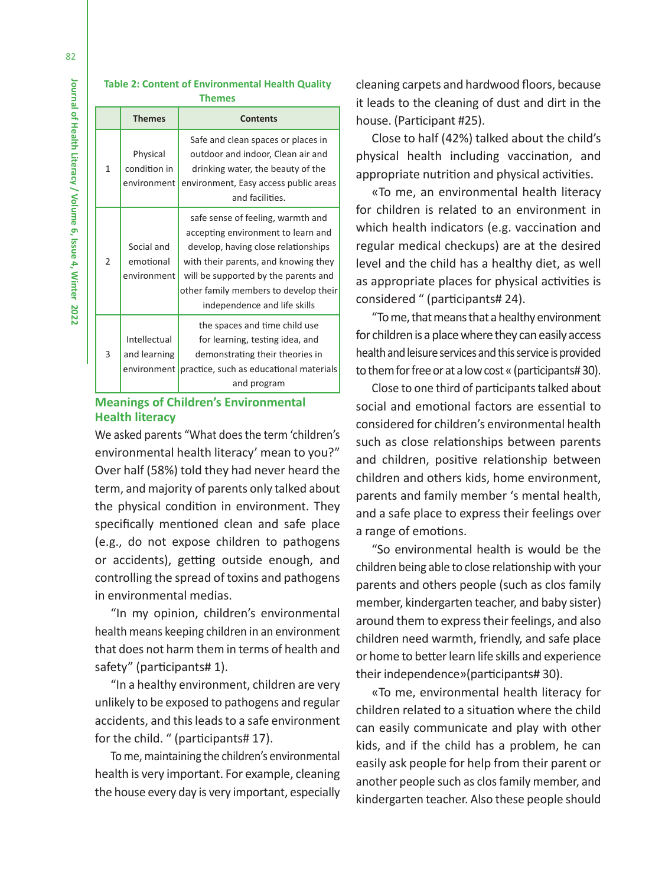#### **Table 2: Content of Environmental Health Quality Themes**

|                | <b>Themes</b>                               | <b>Contents</b>                                                                                                                                                                                                                                                         |
|----------------|---------------------------------------------|-------------------------------------------------------------------------------------------------------------------------------------------------------------------------------------------------------------------------------------------------------------------------|
| 1              | Physical<br>condition in<br>environment     | Safe and clean spaces or places in<br>outdoor and indoor, Clean air and<br>drinking water, the beauty of the<br>environment, Easy access public areas<br>and facilities.                                                                                                |
| $\mathfrak{p}$ | Social and<br>emotional<br>environment      | safe sense of feeling, warmth and<br>accepting environment to learn and<br>develop, having close relationships<br>with their parents, and knowing they<br>will be supported by the parents and<br>other family members to develop their<br>independence and life skills |
| 3              | Intellectual<br>and learning<br>environment | the spaces and time child use<br>for learning, testing idea, and<br>demonstrating their theories in<br>practice, such as educational materials<br>and program                                                                                                           |

## **Meanings of Children's Environmental Health literacy**

We asked parents "What does the term 'children's environmental health literacy' mean to you?" Over half (58%) told they had never heard the term, and majority of parents only talked about the physical condition in environment. They specifically mentioned clean and safe place (e.g., do not expose children to pathogens or accidents), getting outside enough, and controlling the spread of toxins and pathogens in environmental medias.

"In my opinion, children's environmental health means keeping children in an environment that does not harm them in terms of health and safety" (participants# 1).

"In a healthy environment, children are very unlikely to be exposed to pathogens and regular accidents, and this leads to a safe environment for the child. " (participants# 17).

To me, maintaining the children's environmental health is very important. For example, cleaning the house every day is very important, especially

cleaning carpets and hardwood floors, because it leads to the cleaning of dust and dirt in the house. (Participant #25).

Close to half (42%) talked about the child's physical health including vaccination, and appropriate nutrition and physical activities.

«To me, an environmental health literacy for children is related to an environment in which health indicators (e.g. vaccination and regular medical checkups) are at the desired level and the child has a healthy diet, as well as appropriate places for physical activities is considered " (participants# 24).

"To me, that means that a healthy environment for children is a place where they can easily access health and leisure services and this service is provided to them for free or at a low cost « (participants# 30).

Close to one third of participants talked about social and emotional factors are essential to considered for children's environmental health such as close relationships between parents and children, positive relationship between children and others kids, home environment, parents and family member 's mental health, and a safe place to express their feelings over a range of emotions.

"So environmental health is would be the children being able to close relationship with your parents and others people (such as clos family member, kindergarten teacher, and baby sister) around them to express their feelings, and also children need warmth, friendly, and safe place or home to better learn life skills and experience their independence»(participants# 30).

«To me, environmental health literacy for children related to a situation where the child can easily communicate and play with other kids, and if the child has a problem, he can easily ask people for help from their parent or another people such as clos family member, and kindergarten teacher. Also these people should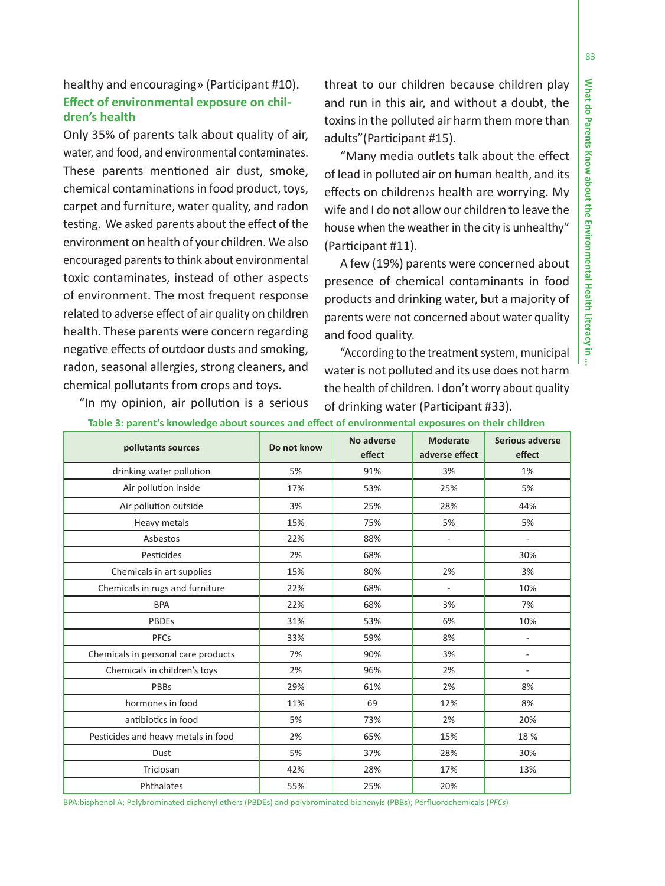## healthy and encouraging» (Par ticipant #10). **E ffect of environmental exposure on children's health**

Only 35% of parents talk about quality of air, water, and food, and environmental contaminates. These parents men tioned air dust, smoke, chemical contamina tions in food product, toys, carpet and furniture, water quality, and radon tes ting. We asked parents about the e ffect of the environment on health of your children. We also encouraged parents to think about environmental toxic contaminates, instead of other aspects of environment. The most frequent response related to adverse e ffect of air quality on children health. These parents were concern regarding nega tive e ffects of outdoor dusts and smoking, radon, seasonal allergies, strong cleaners, and chemical pollutants from crops and toys.

threat to our children because children play and run in this air, and without a doubt, the toxins in the polluted air harm them more than adults"(Par ticipant #15).

"Many media outlets talk about the e ffect of lead in polluted air on human health, and its effects on children›s health are worrying. My wife and I do not allow our children to leave the house when the weather in the city is unhealthy" (Par ticipant #11).

A few (19%) parents were concerned about presence of chemical contaminants in food products and drinking water, but a majority of parents were not concerned about water quality and food quality.

"According to the treatment system, municipal water is not polluted and its use does not harm the health of children. I don't worry about quality of drinking water (Par ticipant #33).

| pollutants sources                  | Do not know | No adverse<br>effect | <b>Moderate</b><br>adverse effect | <b>Serious adverse</b><br>effect |
|-------------------------------------|-------------|----------------------|-----------------------------------|----------------------------------|
| drinking water pollution            | 5%          | 91%                  | 3%                                | 1%                               |
| Air pollution inside                | 17%         | 53%                  | 25%                               | 5%                               |
| Air pollution outside               | 3%          | 25%                  | 28%                               | 44%                              |
| Heavy metals                        | 15%         | 75%                  | 5%                                | 5%                               |
| Asbestos                            | 22%         | 88%                  | $\overline{\phantom{a}}$          | $\sim$                           |
| Pesticides                          | 2%          | 68%                  |                                   | 30%                              |
| Chemicals in art supplies           | 15%         | 80%                  | 2%                                | 3%                               |
| Chemicals in rugs and furniture     | 22%         | 68%                  | $\overline{\phantom{a}}$          | 10%                              |
| <b>BPA</b>                          | 22%         | 68%                  | 3%                                | 7%                               |
| <b>PBDEs</b>                        | 31%         | 53%                  | 6%                                | 10%                              |
| PFCs                                | 33%         | 59%                  | 8%                                | ä,                               |
| Chemicals in personal care products | 7%          | 90%                  | 3%                                | L,                               |
| Chemicals in children's toys        | 2%          | 96%                  | 2%                                | ÷                                |
| PBBs                                | 29%         | 61%                  | 2%                                | 8%                               |
| hormones in food                    | 11%         | 69                   | 12%                               | 8%                               |
| antibiotics in food                 | 5%          | 73%                  | 2%                                | 20%                              |
| Pesticides and heavy metals in food | 2%          | 65%                  | 15%                               | 18%                              |
| Dust                                | 5%          | 37%                  | 28%                               | 30%                              |
| Triclosan                           | 42%         | 28%                  | 17%                               | 13%                              |
| Phthalates                          | 55%         | 25%                  | 20%                               |                                  |

"In my opinion, air pollu tion is a serious

**Table 3: parent's knowledge about sources and e ffect of environmental exposures on their children** 

BPA:bisphenol A; Polybrominated diphenyl ethers (PBDEs) and polybrominated biphenyls (PBBs); Per fluorochemicals (*PFCs*)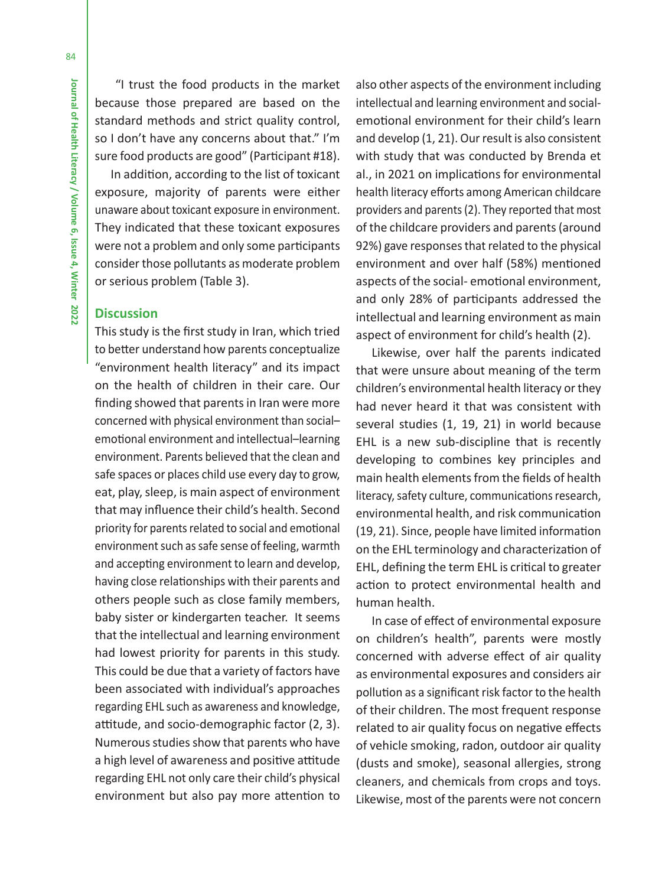"I trust the food products in the market because those prepared are based on the standard methods and strict quality control, so I don't have any concerns about that." I'm sure food products are good" (Participant #18).

In addition, according to the list of toxicant exposure, majority of parents were either unaware about toxicant exposure in environment. They indicated that these toxicant exposures were not a problem and only some participants consider those pollutants as moderate problem or serious problem (Table 3).

## **Discussion**

This study is the first study in Iran, which tried to better understand how parents conceptualize "environment health literacy" and its impact on the health of children in their care. Our finding showed that parents in Iran were more concerned with physical environment than social– emotional environment and intellectual–learning environment. Parents believed that the clean and safe spaces or places child use every day to grow, eat, play, sleep, is main aspect of environment that may influence their child's health. Second priority for parents related to social and emotional environment such as safe sense of feeling, warmth and accepting environment to learn and develop, having close relationships with their parents and others people such as close family members, baby sister or kindergarten teacher. It seems that the intellectual and learning environment had lowest priority for parents in this study. This could be due that a variety of factors have been associated with individual's approaches regarding EHL such as awareness and knowledge, attitude, and socio-demographic factor (2, 3). Numerous studies show that parents who have a high level of awareness and positive attitude regarding EHL not only care their child's physical environment but also pay more attention to

also other aspects of the environment including intellectual and learning environment and socialemotional environment for their child's learn and develop (1, 21). Our result is also consistent with study that was conducted by Brenda et al., in 2021 on implications for environmental health literacy efforts among American childcare providers and parents (2). They reported that most of the childcare providers and parents (around 92%) gave responses that related to the physical environment and over half (58%) mentioned aspects of the social- emotional environment, and only 28% of participants addressed the intellectual and learning environment as main aspect of environment for child's health (2).

Likewise, over half the parents indicated that were unsure about meaning of the term children's environmental health literacy or they had never heard it that was consistent with several studies (1, 19, 21) in world because EHL is a new sub-discipline that is recently developing to combines key principles and main health elements from the fields of health literacy, safety culture, communications research, environmental health, and risk communication (19, 21). Since, people have limited information on the EHL terminology and characterization of EHL, defining the term EHL is critical to greater action to protect environmental health and human health.

In case of effect of environmental exposure on children's health", parents were mostly concerned with adverse effect of air quality as environmental exposures and considers air pollution as a significant risk factor to the health of their children. The most frequent response related to air quality focus on negative effects of vehicle smoking, radon, outdoor air quality (dusts and smoke), seasonal allergies, strong cleaners, and chemicals from crops and toys. Likewise, most of the parents were not concern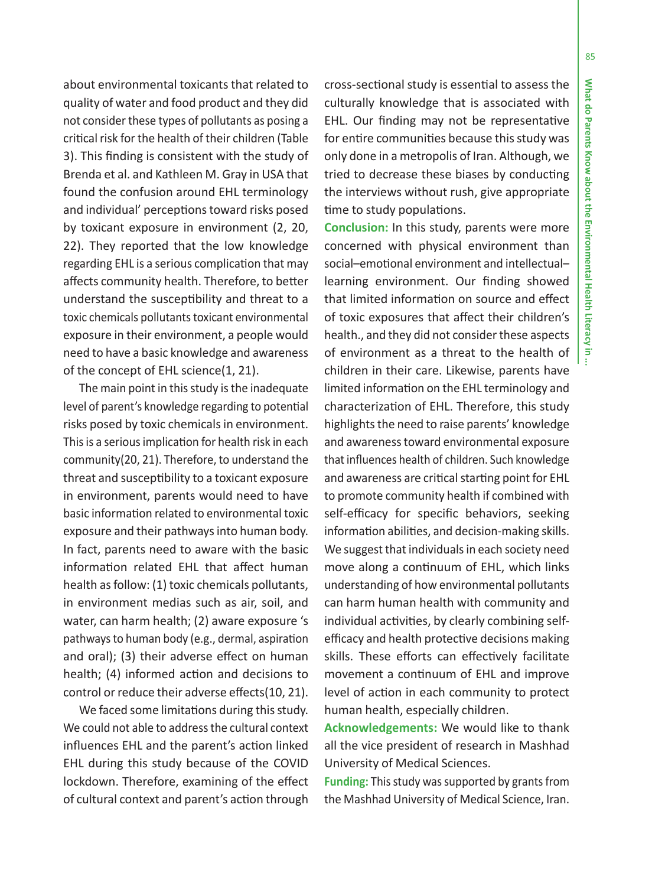about environmental toxicants that related to quality of water and food product and they did not consider these types of pollutants as posing a cri tical risk for the health of their children (Table 3). This finding is consistent with the study of Brenda et al. and Kathleen M. Gray in USA that found the confusion around EHL terminology and individual' percep tions toward risks posed by toxicant exposure in environment (2, 20, 22). They reported that the low knowledge regarding EHL is a serious complica tion that may a ffects community health. Therefore, to be tter understand the suscep tibility and threat to a toxic chemicals pollutants toxicant environmental exposure in their environment, a people would need to have a basic knowledge and awareness of the concept of EHL science(1, 21).

The main point in this study is the inadequate level of parent's knowledge regarding to poten tial risks posed by toxic chemicals in environment. This is a serious implica tion for health risk in each community(20, 21). Therefore, to understand the threat and suscep tibility to a toxicant exposure in environment, parents would need to have basic informa tion related to environmental toxic exposure and their pathways into human body. In fact, parents need to aware with the basic informa tion related EHL that a ffect human health as follow: (1) toxic chemicals pollutants, in environment medias such as air, soil, and water, can harm health; (2) aware exposure 's pathways to human body (e.g., dermal, aspira tion and oral); (3) their adverse e ffect on human health; (4) informed ac tion and decisions to control or reduce their adverse e ffects(10, 21).

We faced some limitations during this study. We could not able to address the cultural context in fluences EHL and the parent's ac tion linked EHL during this study because of the COVID lockdown. Therefore, examining of the e ffect of cultural context and parent's ac tion through

cross-sec tional study is essen tial to assess the culturally knowledge that is associated with EHL. Our finding may not be representa tive for en tire communi ties because this study was only done in a metropolis of Iran. Although, we tried to decrease these biases by conduc ting the interviews without rush, give appropriate time to study populations.

**Conclusion:** In this study, parents were more concerned with physical environment than social–emo tional environment and intellectual– learning environment. Our finding showed that limited informa tion on source and e ffect of toxic exposures that a ffect their children's health., and they did not consider these aspects of environment as a threat to the health of children in their care. Likewise, parents have limited informa tion on the EHL terminology and characteriza tion of EHL. Therefore, this study highlights the need to raise parents' knowledge and awareness toward environmental exposure that in fluences health of children. Such knowledge and awareness are cri tical star ting point for EHL to promote community health if combined with self-efficacy for specific behaviors, seeking informa tion abili ties, and decision-making skills. We suggest that individuals in each society need move along a con tinuum of EHL, which links understanding of how environmental pollutants can harm human health with community and individual ac tivi ties, by clearly combining selfefficacy and health protective decisions making skills. These e fforts can e ffec tively facilitate movement a con tinuum of EHL and improve level of ac tion in each community to protect human health, especially children.

**Acknowledgements:** We would like to thank all the vice president of research in Mashhad University of Medical Sciences.

**Funding:** This study was supported by grants from the Mashhad University of Medical Science, Iran.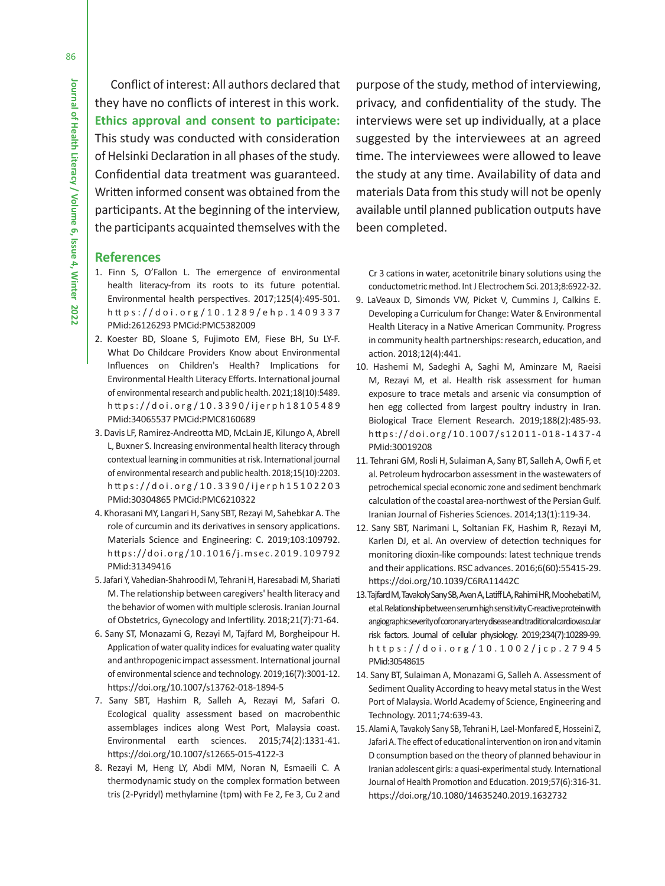Conflict of interest: All authors declared that they have no conflicts of interest in this work. **Ethics approval and consent to participate:**  This study was conducted with consideration of Helsinki Declaration in all phases of the study. Confidential data treatment was guaranteed. Written informed consent was obtained from the participants. At the beginning of the interview, the participants acquainted themselves with the

### **References**

- 1. Finn S, O'Fallon L. The emergence of environmental health literacy-from its roots to its future potential. Environmental health perspectives. 2017;125(4):495-501. h tt ps://doi.org/10.1289/ehp.1409337 PMid:26126293 PMCid:PMC5382009
- 2. Koester BD, Sloane S, Fujimoto EM, Fiese BH, Su LY-F. What Do Childcare Providers Know about Environmental Influences on Children's Health? Implications for Environmental Health Literacy Efforts. International journal of environmental research and public health. 2021;18(10):5489. h tt ps://doi.org/10.3390/ijerph18105489 PMid:34065537 PMCid:PMC8160689
- 3. Davis LF, Ramirez-Andreotta MD, McLain JE, Kilungo A, Abrell L, Buxner S. Increasing environmental health literacy through contextual learning in communities at risk. International journal of environmental research and public health. 2018;15(10):2203. h tt ps://doi.org/10.3390/ijerph15102203 PMid:30304865 PMCid:PMC6210322
- 4. Khorasani MY, Langari H, Sany SBT, Rezayi M, Sahebkar A. The role of curcumin and its derivatives in sensory applications. Materials Science and Engineering: C. 2019;103:109792. https://doi.org/10.1016/j.msec.2019.109792 PMid:31349416
- 5. Jafari Y, Vahedian-Shahroodi M, Tehrani H, Haresabadi M, Shariati M. The relationship between caregivers' health literacy and the behavior of women with multiple sclerosis. Iranian Journal of Obstetrics, Gynecology and Infertility. 2018;21(7):71-64.
- 6. Sany ST, Monazami G, Rezayi M, Tajfard M, Borgheipour H. Application of water quality indices for evaluating water quality and anthropogenic impact assessment. International journal of environmental science and technology. 2019;16(7):3001-12. https://doi.org/10.1007/s13762-018-1894-5
- 7. Sany SBT, Hashim R, Salleh A, Rezayi M, Safari O. Ecological quality assessment based on macrobenthic assemblages indices along West Port, Malaysia coast. Environmental earth sciences. 2015;74(2):1331-41. https://doi.org/10.1007/s12665-015-4122-3
- 8. Rezayi M, Heng LY, Abdi MM, Noran N, Esmaeili C. A thermodynamic study on the complex formation between tris (2-Pyridyl) methylamine (tpm) with Fe 2, Fe 3, Cu 2 and

purpose of the study, method of interviewing, privacy, and confidentiality of the study. The interviews were set up individually, at a place suggested by the interviewees at an agreed time. The interviewees were allowed to leave the study at any time. Availability of data and materials Data from this study will not be openly available until planned publication outputs have been completed.

Cr 3 cations in water, acetonitrile binary solutions using the conductometric method. Int J Electrochem Sci. 2013;8:6922-32.

- 9. LaVeaux D, Simonds VW, Picket V, Cummins J, Calkins E. Developing a Curriculum for Change: Water & Environmental Health Literacy in a Native American Community. Progress in community health partnerships: research, education, and action. 2018;12(4):441.
- 10. Hashemi M, Sadeghi A, Saghi M, Aminzare M, Raeisi M, Rezayi M, et al. Health risk assessment for human exposure to trace metals and arsenic via consumption of hen egg collected from largest poultry industry in Iran. Biological Trace Element Research. 2019;188(2):485-93. https://doi.org/10.1007/s12011-018-1437-4 PMid:30019208
- 11. Tehrani GM, Rosli H, Sulaiman A, Sany BT, Salleh A, Owfi F, et al. Petroleum hydrocarbon assessment in the wastewaters of petrochemical special economic zone and sediment benchmark calculation of the coastal area-northwest of the Persian Gulf. Iranian Journal of Fisheries Sciences. 2014;13(1):119-34.
- 12. Sany SBT, Narimani L, Soltanian FK, Hashim R, Rezayi M, Karlen DJ, et al. An overview of detection techniques for monitoring dioxin-like compounds: latest technique trends and their applications. RSC advances. 2016;6(60):55415-29. https://doi.org/10.1039/C6RA11442C
- 13. Tajfard M, Tavakoly Sany SB, Avan A, Latiff LA, Rahimi HR, Moohebati M, et al. Relationship between serum high sensitivity C-reactive protein with angiographic severity of coronary artery disease and traditional cardiovascular risk factors. Journal of cellular physiology. 2019;234(7):10289-99. https://doi.org/10.1002/jcp.27945 PMid:30548615
- 14. Sany BT, Sulaiman A, Monazami G, Salleh A. Assessment of Sediment Quality According to heavy metal status in the West Port of Malaysia. World Academy of Science, Engineering and Technology. 2011;74:639-43.
- 15. Alami A, Tavakoly Sany SB, Tehrani H, Lael-Monfared E, Hosseini Z, Jafari A. The effect of educational intervention on iron and vitamin D consumption based on the theory of planned behaviour in Iranian adolescent girls: a quasi-experimental study. International Journal of Health Promotion and Education. 2019;57(6):316-31. https://doi.org/10.1080/14635240.2019.1632732